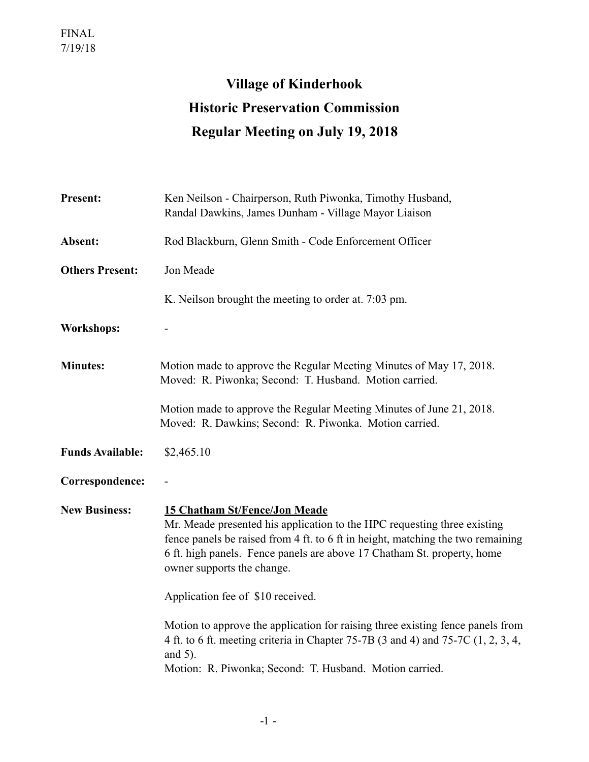## **Village of Kinderhook Historic Preservation Commission Regular Meeting on July 19, 2018**

| <b>Present:</b>         | Ken Neilson - Chairperson, Ruth Piwonka, Timothy Husband,<br>Randal Dawkins, James Dunham - Village Mayor Liaison                                                                                                                                                                                            |
|-------------------------|--------------------------------------------------------------------------------------------------------------------------------------------------------------------------------------------------------------------------------------------------------------------------------------------------------------|
| Absent:                 | Rod Blackburn, Glenn Smith - Code Enforcement Officer                                                                                                                                                                                                                                                        |
| <b>Others Present:</b>  | Jon Meade                                                                                                                                                                                                                                                                                                    |
|                         | K. Neilson brought the meeting to order at. 7:03 pm.                                                                                                                                                                                                                                                         |
| <b>Workshops:</b>       |                                                                                                                                                                                                                                                                                                              |
| <b>Minutes:</b>         | Motion made to approve the Regular Meeting Minutes of May 17, 2018.<br>Moved: R. Piwonka; Second: T. Husband. Motion carried.                                                                                                                                                                                |
|                         | Motion made to approve the Regular Meeting Minutes of June 21, 2018.<br>Moved: R. Dawkins; Second: R. Piwonka. Motion carried.                                                                                                                                                                               |
| <b>Funds Available:</b> | \$2,465.10                                                                                                                                                                                                                                                                                                   |
| Correspondence:         |                                                                                                                                                                                                                                                                                                              |
| <b>New Business:</b>    | <b>15 Chatham St/Fence/Jon Meade</b><br>Mr. Meade presented his application to the HPC requesting three existing<br>fence panels be raised from 4 ft. to 6 ft in height, matching the two remaining<br>6 ft. high panels. Fence panels are above 17 Chatham St. property, home<br>owner supports the change. |
|                         | Application fee of \$10 received.                                                                                                                                                                                                                                                                            |
|                         | Motion to approve the application for raising three existing fence panels from<br>4 ft. to 6 ft. meeting criteria in Chapter 75-7B (3 and 4) and 75-7C (1, 2, 3, 4,<br>and $5$ ).<br>Motion: R. Piwonka; Second: T. Husband. Motion carried.                                                                 |